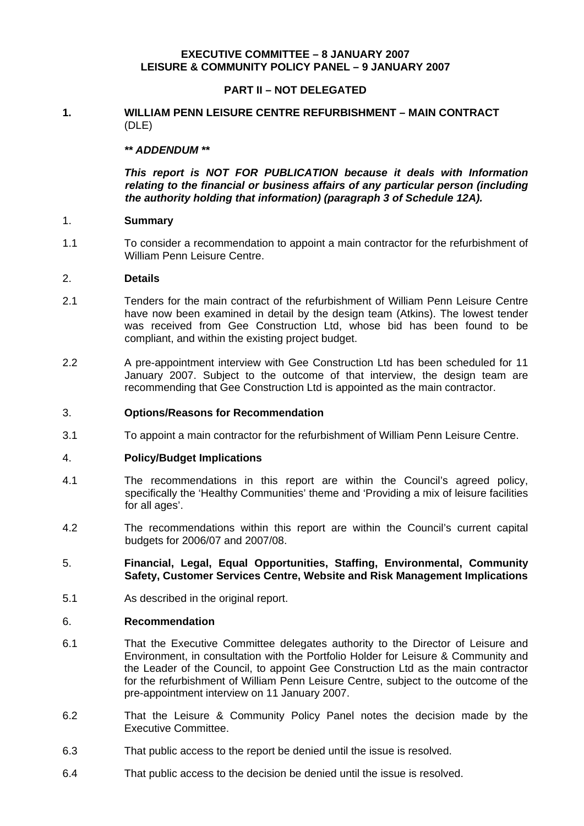# **EXECUTIVE COMMITTEE – 8 JANUARY 2007 LEISURE & COMMUNITY POLICY PANEL – 9 JANUARY 2007**

# **PART II – NOT DELEGATED**

## **1. WILLIAM PENN LEISURE CENTRE REFURBISHMENT – MAIN CONTRACT** (DLE)

## *\*\* ADDENDUM \*\**

 *This report is NOT FOR PUBLICATION because it deals with Information relating to the financial or business affairs of any particular person (including the authority holding that information) (paragraph 3 of Schedule 12A).*

## 1. **Summary**

1.1 To consider a recommendation to appoint a main contractor for the refurbishment of William Penn Leisure Centre.

#### 2. **Details**

- 2.1 Tenders for the main contract of the refurbishment of William Penn Leisure Centre have now been examined in detail by the design team (Atkins). The lowest tender was received from Gee Construction Ltd, whose bid has been found to be compliant, and within the existing project budget.
- 2.2 A pre-appointment interview with Gee Construction Ltd has been scheduled for 11 January 2007. Subject to the outcome of that interview, the design team are recommending that Gee Construction Ltd is appointed as the main contractor.

#### 3. **Options/Reasons for Recommendation**

3.1 To appoint a main contractor for the refurbishment of William Penn Leisure Centre.

## 4. **Policy/Budget Implications**

- 4.1 The recommendations in this report are within the Council's agreed policy, specifically the 'Healthy Communities' theme and 'Providing a mix of leisure facilities for all ages'.
- 4.2 The recommendations within this report are within the Council's current capital budgets for 2006/07 and 2007/08.
- 5. **Financial, Legal, Equal Opportunities, Staffing, Environmental, Community Safety, Customer Services Centre, Website and Risk Management Implications**
- 5.1 As described in the original report.

#### 6. **Recommendation**

- 6.1 That the Executive Committee delegates authority to the Director of Leisure and Environment, in consultation with the Portfolio Holder for Leisure & Community and the Leader of the Council, to appoint Gee Construction Ltd as the main contractor for the refurbishment of William Penn Leisure Centre, subject to the outcome of the pre-appointment interview on 11 January 2007.
- 6.2 That the Leisure & Community Policy Panel notes the decision made by the Executive Committee.
- 6.3 That public access to the report be denied until the issue is resolved.
- 6.4 That public access to the decision be denied until the issue is resolved.